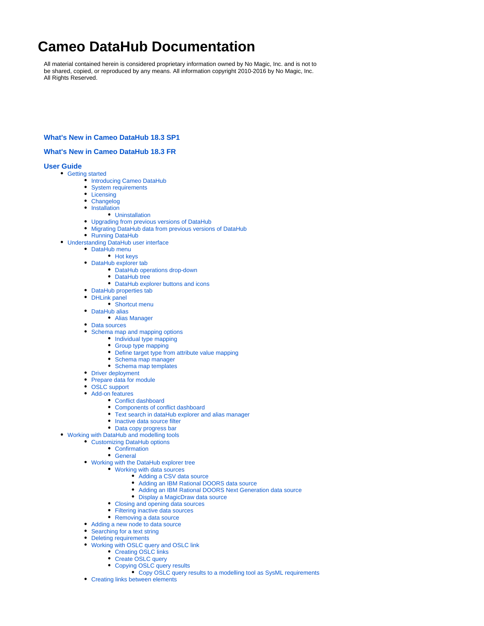# **Cameo DataHub Documentation**

All material contained herein is considered proprietary information owned by No Magic, Inc. and is not to be shared, copied, or reproduced by any means. All information copyright 2010-2016 by No Magic, Inc. All Rights Reserved.

### **[What's New in Cameo DataHub 18.3 SP1](https://docs.nomagic.com/display/CDH183/What%27s+New+in+Cameo+DataHub+18.3+SP1)**

## **[What's New in Cameo DataHub 18.3 FR](https://docs.nomagic.com/display/CDH183/What%27s+New+in+Cameo+DataHub+18.3+FR)**

### **[User Guide](https://docs.nomagic.com/display/CDH183/User+Guide)**

- [Getting started](https://docs.nomagic.com/display/CDH183/Getting+started)
	- [Introducing Cameo DataHub](https://docs.nomagic.com/display/CDH183/Introducing+Cameo+DataHub)
	- [System requirements](https://docs.nomagic.com/display/CDH183/System+requirements)
	- [Licensing](https://docs.nomagic.com/display/CDH183/Licensing)
	- [Changelog](https://docs.nomagic.com/display/CDH183/Changelog)
	- [Installation](https://docs.nomagic.com/display/CDH183/Installation)
		- [Uninstallation](https://docs.nomagic.com/display/CDH183/Uninstallation)
	- [Upgrading from previous versions of DataHub](https://docs.nomagic.com/display/CDH183/Upgrading+from+previous+versions+of+DataHub)
	- [Migrating DataHub data from previous versions of DataHub](https://docs.nomagic.com/display/CDH183/Migrating+DataHub+data+from+previous+versions+of+DataHub)
	- [Running DataHub](https://docs.nomagic.com/display/CDH183/Running+DataHub)
- [Understanding DataHub user interface](https://docs.nomagic.com/display/CDH183/Understanding+DataHub+user+interface)
	- [DataHub menu](https://docs.nomagic.com/display/CDH183/DataHub+menu)
		- [Hot keys](https://docs.nomagic.com/display/CDH183/Hot+keys)
	- [DataHub explorer tab](https://docs.nomagic.com/display/CDH183/DataHub+explorer+tab) [DataHub operations drop-down](https://docs.nomagic.com/display/CDH183/DataHub+operations+drop-down)
		- [DataHub tree](https://docs.nomagic.com/display/CDH183/DataHub+tree)
			- [DataHub explorer buttons and icons](https://docs.nomagic.com/display/CDH183/DataHub+explorer+buttons+and+icons)
	- [DataHub properties tab](https://docs.nomagic.com/display/CDH183/DataHub+properties+tab)
	- [DHLink panel](https://docs.nomagic.com/display/CDH183/DHLink+panel)
		- [Shortcut menu](https://docs.nomagic.com/display/CDH183/Shortcut+menu)
	- [DataHub alias](https://docs.nomagic.com/display/CDH183/DataHub+alias)
		- [Alias Manager](https://docs.nomagic.com/display/CDH183/Alias+Manager)
	- [Data sources](https://docs.nomagic.com/display/CDH183/Data+sources)
	- [Schema map and mapping options](https://docs.nomagic.com/display/CDH183/Schema+map+and+mapping+options)
		- [Individual type mapping](https://docs.nomagic.com/display/CDH183/Individual+type+mapping)
		- [Group type mapping](https://docs.nomagic.com/display/CDH183/Group+type+mapping)
		- [Define target type from attribute value mapping](https://docs.nomagic.com/display/CDH183/Define+target+type+from+attribute+value+mapping)
		- [Schema map manager](https://docs.nomagic.com/display/CDH183/Schema+map+manager)
		- [Schema map templates](https://docs.nomagic.com/display/CDH183/Schema+map+templates)
	- [Driver deployment](https://docs.nomagic.com/display/CDH183/Driver+deployment)
	- [Prepare data for module](https://docs.nomagic.com/display/CDH183/Prepare+data+for+module)  $\bullet$
	- [OSLC support](https://docs.nomagic.com/display/CDH183/OSLC+support)
	- [Add-on features](https://docs.nomagic.com/display/CDH183/Add-on+features)
	- - [Conflict dashboard](https://docs.nomagic.com/display/CDH183/Conflict+dashboard) [Components of conflict dashboard](https://docs.nomagic.com/display/CDH183/Components+of+conflict+dashboard)
		- [Text search in dataHub explorer and alias manager](https://docs.nomagic.com/display/CDH183/Text+search+in+dataHub+explorer+and+alias+manager)
		- [Inactive data source filter](https://docs.nomagic.com/display/CDH183/Inactive+data+source+filter)
		- [Data copy progress bar](https://docs.nomagic.com/display/CDH183/Data+copy+progress+bar)
- [Working with DataHub and modelling tools](https://docs.nomagic.com/display/CDH183/Working+with+DataHub+and+modelling+tools)
	- [Customizing DataHub options](https://docs.nomagic.com/display/CDH183/Customizing+DataHub+options)
		- [Confirmation](https://docs.nomagic.com/display/CDH183/Confirmation)
		- [General](https://docs.nomagic.com/display/CDH183/General)
		- [Working with the DataHub explorer tree](https://docs.nomagic.com/display/CDH183/Working+with+the+DataHub+explorer+tree)
			- [Working with data sources](https://docs.nomagic.com/display/CDH183/Working+with+data+sources)
				- [Adding a CSV data source](https://docs.nomagic.com/display/CDH183/Adding+a+CSV+data+source)
				- [Adding an IBM Rational DOORS data source](https://docs.nomagic.com/display/CDH183/Adding+an+IBM+Rational+DOORS+data+source)
				- $\bullet$ [Adding an IBM Rational DOORS Next Generation data source](https://docs.nomagic.com/display/CDH183/Adding+an+IBM+Rational+DOORS+Next+Generation+data+source)
				- [Display a MagicDraw data source](https://docs.nomagic.com/display/CDH183/Display+a+MagicDraw+data+source)
			- [Closing and opening data sources](https://docs.nomagic.com/display/CDH183/Closing+and+opening+data+sources)
			- [Filtering inactive data sources](https://docs.nomagic.com/display/CDH183/Filtering+inactive+data+sources)
			- [Removing a data source](https://docs.nomagic.com/display/CDH183/Removing+a+data+source)
		- [Adding a new node to data source](https://docs.nomagic.com/display/CDH183/Adding+a+new+node+to+data+source)
		- [Searching for a text string](https://docs.nomagic.com/display/CDH183/Searching+for+a+text+string)
		- $\bullet$ [Deleting requirements](https://docs.nomagic.com/display/CDH183/Deleting+requirements)
		- [Working with OSLC query and OSLC link](https://docs.nomagic.com/display/CDH183/Working+with+OSLC+query+and+OSLC+link)  $\bullet$ 
			- [Creating OSLC links](https://docs.nomagic.com/display/CDH183/Creating+OSLC+links)
			- [Create OSLC query](https://docs.nomagic.com/display/CDH183/Create+OSLC+query)
			- [Copying OSLC query results](https://docs.nomagic.com/display/CDH183/Copying+OSLC+query+results)
			- $\bullet$  [Copy OSLC query results to a modelling tool as SysML requirements](https://docs.nomagic.com/display/CDH183/Copy+OSLC+query+results+to+a+modelling+tool+as+SysML+requirements)
		- [Creating links between elements](https://docs.nomagic.com/display/CDH183/Creating+links+between+elements)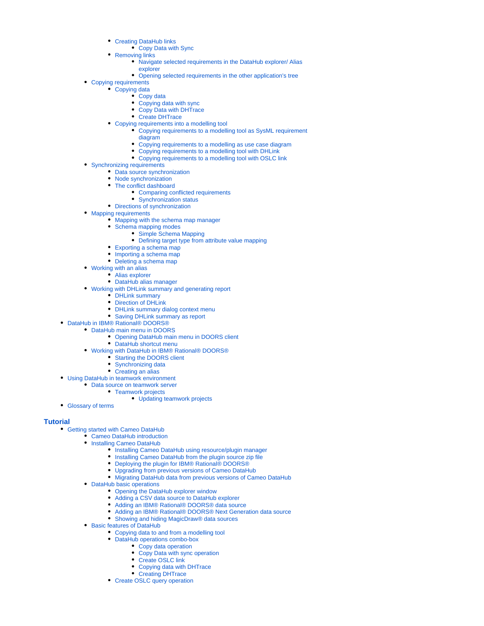- [Creating DataHub links](https://docs.nomagic.com/display/CDH183/Creating+DataHub+links)
	- [Copy Data with Sync](https://docs.nomagic.com/display/CDH183/Copy+Data+with+Sync)
- [Removing links](https://docs.nomagic.com/display/CDH183/Removing+links)
	- [Navigate selected requirements in the DataHub explorer/ Alias](https://docs.nomagic.com/pages/viewpage.action?pageId=7408061)  [explorer](https://docs.nomagic.com/pages/viewpage.action?pageId=7408061)
	- [Opening selected requirements in the other application's tree](https://docs.nomagic.com/display/CDH183/Opening+selected+requirements+in+the+other+application%27s+tree)
- [Copying requirements](https://docs.nomagic.com/display/CDH183/Copying+requirements)
	- [Copying data](https://docs.nomagic.com/display/CDH183/Copying+data)
		- [Copy data](https://docs.nomagic.com/display/CDH183/Copy+data)
		- [Copying data with sync](https://docs.nomagic.com/display/CDH183/Copying+data+with+sync)
		- [Copy Data with DHTrace](https://docs.nomagic.com/display/CDH183/Copy+Data+with+DHTrace)
		- [Create DHTrace](https://docs.nomagic.com/display/CDH183/Create+DHTrace)
	- [Copying requirements into a modelling tool](https://docs.nomagic.com/display/CDH183/Copying+requirements+into+a+modelling+tool)
		- [Copying requirements to a modelling tool as SysML requirement](https://docs.nomagic.com/display/CDH183/Copying+requirements+to+a+modelling+tool+as+SysML+requirement+diagram)  [diagram](https://docs.nomagic.com/display/CDH183/Copying+requirements+to+a+modelling+tool+as+SysML+requirement+diagram)
		- [Copying requirements to a modelling as use case diagram](https://docs.nomagic.com/display/CDH183/Copying+requirements+to+a+modelling+as+use+case+diagram)
		- [Copying requirements to a modelling tool with DHLink](https://docs.nomagic.com/display/CDH183/Copying+requirements+to+a+modelling+tool+with+DHLink)
		- [Copying requirements to a modelling tool with OSLC link](https://docs.nomagic.com/display/CDH183/Copying+requirements+to+a+modelling+tool+with+OSLC+link)
- [Synchronizing requirements](https://docs.nomagic.com/display/CDH183/Synchronizing+requirements)
	- [Data source synchronization](https://docs.nomagic.com/display/CDH183/Data+source+synchronization)
	- [Node synchronization](https://docs.nomagic.com/display/CDH183/Node+synchronization)
	- [The conflict dashboard](https://docs.nomagic.com/display/CDH183/The+conflict+dashboard)
		- [Comparing conflicted requirements](https://docs.nomagic.com/display/CDH183/Comparing+conflicted+requirements)
		- [Synchronization status](https://docs.nomagic.com/display/CDH183/Synchronization+status)
	- [Directions of synchronization](https://docs.nomagic.com/display/CDH183/Directions+of+synchronization)
- [Mapping requirements](https://docs.nomagic.com/display/CDH183/Mapping+requirements)
	- [Mapping with the schema map manager](https://docs.nomagic.com/display/CDH183/Mapping+with+the+schema+map+manager)
	- [Schema mapping modes](https://docs.nomagic.com/display/CDH183/Schema+mapping+modes)
		- [Simple Schema Mapping](https://docs.nomagic.com/display/CDH183/Simple+Schema+Mapping)
			- [Defining target type from attribute value mapping](https://docs.nomagic.com/display/CDH183/Defining+target+type+from+attribute+value+mapping)
	- [Exporting a schema map](https://docs.nomagic.com/display/CDH183/Exporting+a+schema+map)
	- [Importing a schema map](https://docs.nomagic.com/display/CDH183/Importing+a+schema+map)
	- [Deleting a schema map](https://docs.nomagic.com/display/CDH183/Deleting+a+schema+map)
- [Working with an alias](https://docs.nomagic.com/display/CDH183/Working+with+an+alias)
	- [Alias explorer](https://docs.nomagic.com/display/CDH183/Alias+explorer)
		- [DataHub alias manager](https://docs.nomagic.com/display/CDH183/DataHub+alias+manager)
- [Working with DHLink summary and generating report](https://docs.nomagic.com/display/CDH183/Working+with+DHLink+summary+and+generating+report)
	- [DHLink summary](https://docs.nomagic.com/display/CDH183/DHLink+summary)
		- [Direction of DHLink](https://docs.nomagic.com/display/CDH183/Direction+of+DHLink)
		- [DHLink summary dialog context menu](https://docs.nomagic.com/display/CDH183/DHLink+summary+dialog+context+menu)
		- [Saving DHLink summary as report](https://docs.nomagic.com/display/CDH183/Saving+DHLink+summary+as+report)
- [DataHub in IBM® Rational® DOORS®](https://docs.nomagic.com/pages/viewpage.action?pageId=7408347)
	- [DataHub main menu in DOORS](https://docs.nomagic.com/display/CDH183/DataHub+main+menu+in+DOORS)
		- [Opening DataHub main menu in DOORS client](https://docs.nomagic.com/display/CDH183/Opening+DataHub+main+menu+in+DOORS+client)
		- [DataHub shortcut menu](https://docs.nomagic.com/display/CDH183/DataHub+shortcut+menu)
	- [Working with DataHub in IBM® Rational® DOORS®](https://docs.nomagic.com/pages/viewpage.action?pageId=7408351)
		- [Starting the DOORS client](https://docs.nomagic.com/display/CDH183/Starting+the+DOORS+client)
		- [Synchronizing data](https://docs.nomagic.com/display/CDH183/Synchronizing+data)
		- [Creating an alias](https://docs.nomagic.com/display/CDH183/Creating+an+alias)
- [Using DataHub in teamwork environment](https://docs.nomagic.com/display/CDH183/Using+DataHub+in+teamwork+environment)
	- [Data source on teamwork server](https://docs.nomagic.com/display/CDH183/Data+source+on+teamwork+server)
		- [Teamwork projects](https://docs.nomagic.com/display/CDH183/Teamwork+projects)
			- [Updating teamwork projects](https://docs.nomagic.com/display/CDH183/Updating+teamwork+projects)
- [Glossary of terms](https://docs.nomagic.com/display/CDH183/Glossary+of+terms)

## **[Tutorial](https://docs.nomagic.com/display/CDH183/Tutorial)**

- [Getting started with Cameo DataHub](https://docs.nomagic.com/display/CDH183/Getting+started+with+Cameo+DataHub)
	- [Cameo DataHub introduction](https://docs.nomagic.com/display/CDH183/Cameo+DataHub+introduction)
	- [Installing Cameo DataHub](https://docs.nomagic.com/display/CDH183/Installing+Cameo+DataHub)
		- **[Installing Cameo DataHub using resource/plugin manager](https://docs.nomagic.com/pages/viewpage.action?pageId=7408383)**
		- [Installing Cameo DataHub from the plugin source zip file](https://docs.nomagic.com/display/CDH183/Installing+Cameo+DataHub+from+the+plugin+source+zip+file)
		- [Deploying the plugin for IBM® Rational® DOORS®](https://docs.nomagic.com/pages/viewpage.action?pageId=7408371)
		- [Upgrading from previous versions of Cameo DataHub](https://docs.nomagic.com/display/CDH183/Upgrading+from+previous+versions+of+Cameo+DataHub)
		- **[Migrating DataHub data from previous versions of Cameo DataHub](https://docs.nomagic.com/display/CDH183/Migrating+DataHub+data+from+previous+versions+of+Cameo+DataHub)**
	- [DataHub basic operations](https://docs.nomagic.com/display/CDH183/DataHub+basic+operations)
		- [Opening the DataHub explorer window](https://docs.nomagic.com/display/CDH183/Opening+the+DataHub+explorer+window)
		- [Adding a CSV data source to DataHub explorer](https://docs.nomagic.com/display/CDH183/Adding+a+CSV+data+source+to+DataHub+explorer)
		- [Adding an IBM® Rational® DOORS® data source](https://docs.nomagic.com/pages/viewpage.action?pageId=7408389)
		- [Adding an IBM® Rational® DOORS® Next Generation data source](https://docs.nomagic.com/pages/viewpage.action?pageId=7408397)
		- [Showing and hiding MagicDraw® data sources](https://docs.nomagic.com/pages/viewpage.action?pageId=7408420)
	- [Basic features of DataHub](https://docs.nomagic.com/display/CDH183/Basic+features+of+DataHub)
		- [Copying data to and from a modelling tool](https://docs.nomagic.com/display/CDH183/Copying+data+to+and+from+a+modelling+tool)
			- [DataHub operations combo-box](https://docs.nomagic.com/display/CDH183/DataHub+operations+combo-box)
				- [Copy data operation](https://docs.nomagic.com/display/CDH183/Copy+data+operation)
				- [Copy Data with sync operation](https://docs.nomagic.com/display/CDH183/Copy+Data+with+sync+operation)
				- [Create OSLC link](https://docs.nomagic.com/display/CDH183/Create+OSLC+link)
				- [Copying data with DHTrace](https://docs.nomagic.com/display/CDH183/Copying+data+with+DHTrace)
				- [Creating DHTrace](https://docs.nomagic.com/display/CDH183/Creating+DHTrace)
		- [Create OSLC query operation](https://docs.nomagic.com/display/CDH183/Create+OSLC+query+operation)